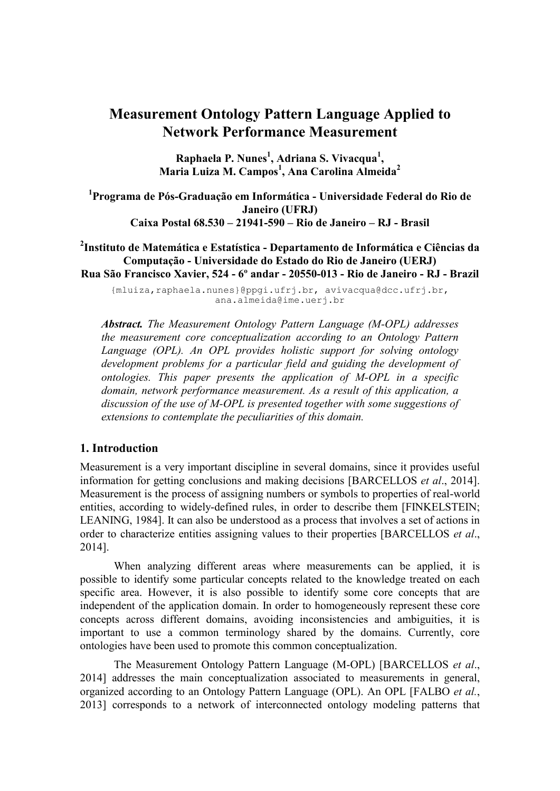# **Measurement Ontology Pattern Language Applied to Network Performance Measurement**

**Raphaela P. Nunes<sup>1</sup> , Adriana S. Vivacqua<sup>1</sup> , Maria Luiza M. Campos<sup>1</sup> , Ana Carolina Almeida<sup>2</sup>**

**1 Programa de Pós-Graduação em Informática - Universidade Federal do Rio de Janeiro (UFRJ) Caixa Postal 68.530 – 21941-590 – Rio de Janeiro – RJ - Brasil**

**2 Instituto de Matemática e Estatística - Departamento de Informática e Ciências da Computação - Universidade do Estado do Rio de Janeiro (UERJ) Rua São Francisco Xavier, 524 - 6º andar - 20550-013 - Rio de Janeiro - RJ - Brazil**

{mluiza,raphaela.nunes}@ppgi.ufrj.br, avivacqua@dcc.ufrj.br, ana.almeida@ime.uerj.br

*Abstract. The Measurement Ontology Pattern Language (M-OPL) addresses the measurement core conceptualization according to an Ontology Pattern Language (OPL). An OPL provides holistic support for solving ontology development problems for a particular field and guiding the development of ontologies. This paper presents the application of M-OPL in a specific domain, network performance measurement. As a result of this application, a discussion of the use of M-OPL is presented together with some suggestions of extensions to contemplate the peculiarities of this domain.* 

#### **1. Introduction**

Measurement is a very important discipline in several domains, since it provides useful information for getting conclusions and making decisions [BARCELLOS *et al*., 2014]. Measurement is the process of assigning numbers or symbols to properties of real-world entities, according to widely-defined rules, in order to describe them [FINKELSTEIN; LEANING, 1984]. It can also be understood as a process that involves a set of actions in order to characterize entities assigning values to their properties [BARCELLOS *et al*., 2014].

When analyzing different areas where measurements can be applied, it is possible to identify some particular concepts related to the knowledge treated on each specific area. However, it is also possible to identify some core concepts that are independent of the application domain. In order to homogeneously represent these core concepts across different domains, avoiding inconsistencies and ambiguities, it is important to use a common terminology shared by the domains. Currently, core ontologies have been used to promote this common conceptualization.

The Measurement Ontology Pattern Language (M-OPL) [BARCELLOS *et al*., 2014] addresses the main conceptualization associated to measurements in general, organized according to an Ontology Pattern Language (OPL). An OPL [FALBO *et al.*, 2013] corresponds to a network of interconnected ontology modeling patterns that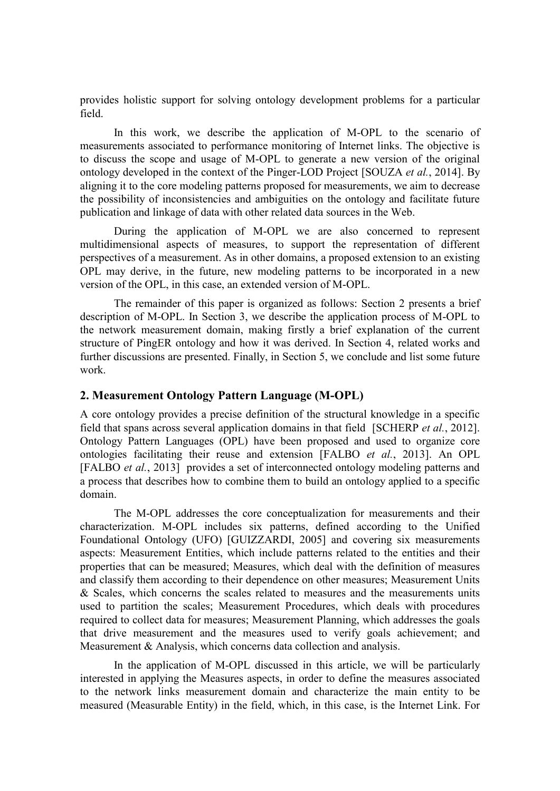provides holistic support for solving ontology development problems for a particular field.

In this work, we describe the application of M-OPL to the scenario of measurements associated to performance monitoring of Internet links. The objective is to discuss the scope and usage of M-OPL to generate a new version of the original ontology developed in the context of the Pinger-LOD Project [SOUZA *et al.*, 2014]. By aligning it to the core modeling patterns proposed for measurements, we aim to decrease the possibility of inconsistencies and ambiguities on the ontology and facilitate future publication and linkage of data with other related data sources in the Web.

During the application of M-OPL we are also concerned to represent multidimensional aspects of measures, to support the representation of different perspectives of a measurement. As in other domains, a proposed extension to an existing OPL may derive, in the future, new modeling patterns to be incorporated in a new version of the OPL, in this case, an extended version of M-OPL.

The remainder of this paper is organized as follows: Section 2 presents a brief description of M-OPL. In Section 3, we describe the application process of M-OPL to the network measurement domain, making firstly a brief explanation of the current structure of PingER ontology and how it was derived. In Section 4, related works and further discussions are presented. Finally, in Section 5, we conclude and list some future work.

#### **2. Measurement Ontology Pattern Language (M-OPL)**

A core ontology provides a precise definition of the structural knowledge in a specific field that spans across several application domains in that field [SCHERP *et al.*, 2012]. Ontology Pattern Languages (OPL) have been proposed and used to organize core ontologies facilitating their reuse and extension [FALBO *et al.*, 2013]. An OPL [FALBO *et al.*, 2013] provides a set of interconnected ontology modeling patterns and a process that describes how to combine them to build an ontology applied to a specific domain.

The M-OPL addresses the core conceptualization for measurements and their characterization. M-OPL includes six patterns, defined according to the Unified Foundational Ontology (UFO) [GUIZZARDI, 2005] and covering six measurements aspects: Measurement Entities, which include patterns related to the entities and their properties that can be measured; Measures, which deal with the definition of measures and classify them according to their dependence on other measures; Measurement Units  $&$  Scales, which concerns the scales related to measures and the measurements units used to partition the scales; Measurement Procedures, which deals with procedures required to collect data for measures; Measurement Planning, which addresses the goals that drive measurement and the measures used to verify goals achievement; and Measurement & Analysis, which concerns data collection and analysis.

In the application of M-OPL discussed in this article, we will be particularly interested in applying the Measures aspects, in order to define the measures associated to the network links measurement domain and characterize the main entity to be measured (Measurable Entity) in the field, which, in this case, is the Internet Link. For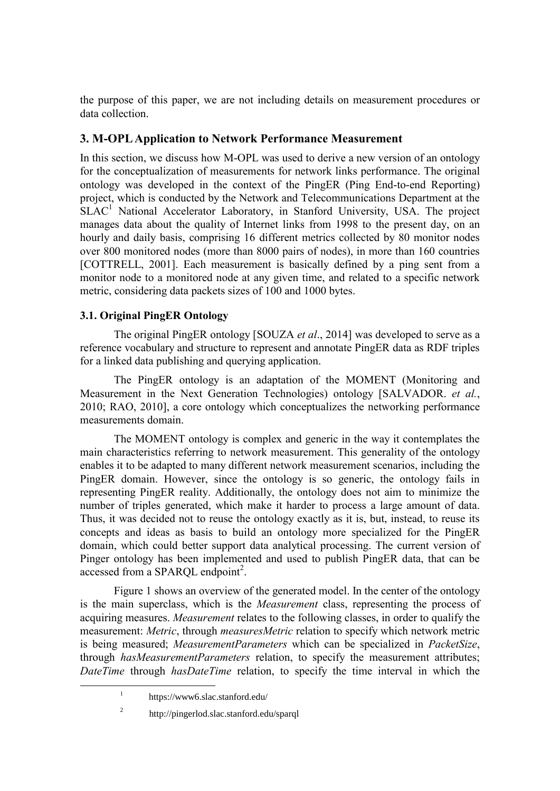the purpose of this paper, we are not including details on measurement procedures or data collection.

# **3. M-OPL Application to Network Performance Measurement**

In this section, we discuss how M-OPL was used to derive a new version of an ontology for the conceptualization of measurements for network links performance. The original ontology was developed in the context of the PingER (Ping End-to-end Reporting) project, which is conducted by the Network and Telecommunications Department at the  $SLAC<sup>1</sup>$  National Accelerator Laboratory, in Stanford University, USA. The project manages data about the quality of Internet links from 1998 to the present day, on an hourly and daily basis, comprising 16 different metrics collected by 80 monitor nodes over 800 monitored nodes (more than 8000 pairs of nodes), in more than 160 countries [COTTRELL, 2001]. Each measurement is basically defined by a ping sent from a monitor node to a monitored node at any given time, and related to a specific network metric, considering data packets sizes of 100 and 1000 bytes.

## **3.1. Original PingER Ontology**

The original PingER ontology [SOUZA *et al*., 2014] was developed to serve as a reference vocabulary and structure to represent and annotate PingER data as RDF triples for a linked data publishing and querying application.

The PingER ontology is an adaptation of the MOMENT (Monitoring and Measurement in the Next Generation Technologies) ontology [SALVADOR. *et al.*, 2010; RAO, 2010], a core ontology which conceptualizes the networking performance measurements domain.

The MOMENT ontology is complex and generic in the way it contemplates the main characteristics referring to network measurement. This generality of the ontology enables it to be adapted to many different network measurement scenarios, including the PingER domain. However, since the ontology is so generic, the ontology fails in representing PingER reality. Additionally, the ontology does not aim to minimize the number of triples generated, which make it harder to process a large amount of data. Thus, it was decided not to reuse the ontology exactly as it is, but, instead, to reuse its concepts and ideas as basis to build an ontology more specialized for the PingER domain, which could better support data analytical processing. The current version of Pinger ontology has been implemented and used to publish PingER data, that can be accessed from a SPARQL endpoint<sup>2</sup>.

Figure 1 shows an overview of the generated model. In the center of the ontology is the main superclass, which is the *Measurement* class, representing the process of acquiring measures. *Measurement* relates to the following classes, in order to qualify the measurement: *Metric*, through *measuresMetric* relation to specify which network metric is being measured; *MeasurementParameters* which can be specialized in *PacketSize*, through *hasMeasurementParameters* relation, to specify the measurement attributes; *DateTime* through *hasDateTime* relation, to specify the time interval in which the

2

1

<sup>1</sup> https://www6.slac.stanford.edu/

http://pingerlod.slac.stanford.edu/sparql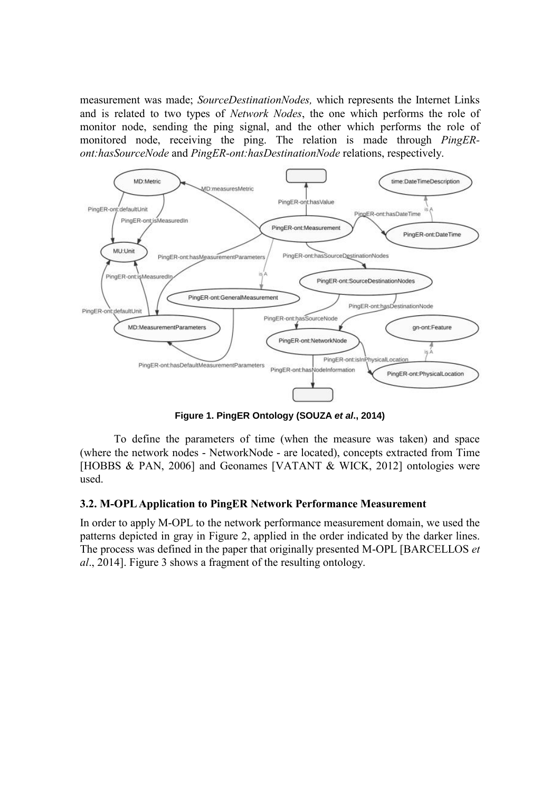measurement was made; *SourceDestinationNodes,* which represents the Internet Links and is related to two types of *Network Nodes*, the one which performs the role of monitor node, sending the ping signal, and the other which performs the role of monitored node, receiving the ping. The relation is made through *PingERont:hasSourceNode* and *PingER-ont:hasDestinationNode* relations, respectively.



**Figure 1. PingER Ontology (SOUZA** *et al***., 2014)**

To define the parameters of time (when the measure was taken) and space (where the network nodes - NetworkNode - are located), concepts extracted from Time [HOBBS & PAN, 2006] and Geonames [VATANT & WICK, 2012] ontologies were used.

#### **3.2. M-OPL Application to PingER Network Performance Measurement**

In order to apply M-OPL to the network performance measurement domain, we used the patterns depicted in gray in Figure 2, applied in the order indicated by the darker lines. The process was defined in the paper that originally presented M-OPL [BARCELLOS *et al*., 2014]. Figure 3 shows a fragment of the resulting ontology.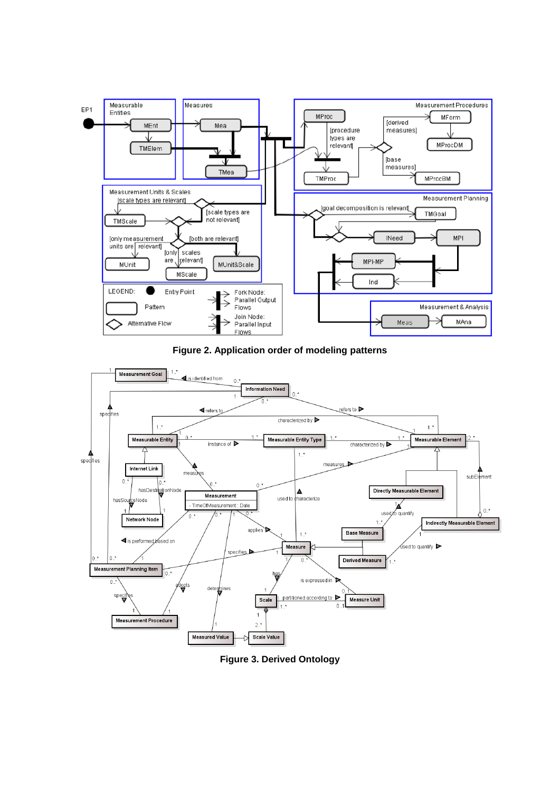

**Figure 2. Application order of modeling patterns**



**Figure 3. Derived Ontology**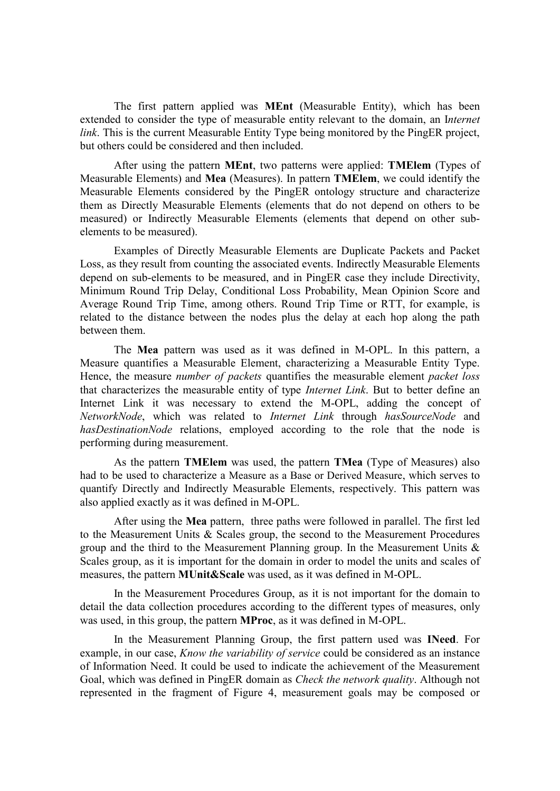The first pattern applied was **MEnt** (Measurable Entity), which has been extended to consider the type of measurable entity relevant to the domain, an I*nternet link*. This is the current Measurable Entity Type being monitored by the PingER project, but others could be considered and then included.

After using the pattern **MEnt**, two patterns were applied: **TMElem** (Types of Measurable Elements) and **Mea** (Measures). In pattern **TMElem**, we could identify the Measurable Elements considered by the PingER ontology structure and characterize them as Directly Measurable Elements (elements that do not depend on others to be measured) or Indirectly Measurable Elements (elements that depend on other subelements to be measured).

Examples of Directly Measurable Elements are Duplicate Packets and Packet Loss, as they result from counting the associated events. Indirectly Measurable Elements depend on sub-elements to be measured, and in PingER case they include Directivity, Minimum Round Trip Delay, Conditional Loss Probability, Mean Opinion Score and Average Round Trip Time, among others. Round Trip Time or RTT, for example, is related to the distance between the nodes plus the delay at each hop along the path between them.

The **Mea** pattern was used as it was defined in M-OPL. In this pattern, a Measure quantifies a Measurable Element, characterizing a Measurable Entity Type. Hence, the measure *number of packets* quantifies the measurable element *packet loss* that characterizes the measurable entity of type *Internet Link*. But to better define an Internet Link it was necessary to extend the M-OPL, adding the concept of *NetworkNode*, which was related to *Internet Link* through *hasSourceNode* and *hasDestinationNode* relations, employed according to the role that the node is performing during measurement.

As the pattern **TMElem** was used, the pattern **TMea** (Type of Measures) also had to be used to characterize a Measure as a Base or Derived Measure, which serves to quantify Directly and Indirectly Measurable Elements, respectively. This pattern was also applied exactly as it was defined in M-OPL.

After using the **Mea** pattern, three paths were followed in parallel. The first led to the Measurement Units & Scales group, the second to the Measurement Procedures group and the third to the Measurement Planning group. In the Measurement Units  $\&$ Scales group, as it is important for the domain in order to model the units and scales of measures, the pattern **MUnit&Scale** was used, as it was defined in M-OPL.

In the Measurement Procedures Group, as it is not important for the domain to detail the data collection procedures according to the different types of measures, only was used, in this group, the pattern **MProc**, as it was defined in M-OPL.

In the Measurement Planning Group, the first pattern used was **INeed**. For example, in our case, *Know the variability of service* could be considered as an instance of Information Need. It could be used to indicate the achievement of the Measurement Goal, which was defined in PingER domain as *Check the network quality*. Although not represented in the fragment of Figure 4, measurement goals may be composed or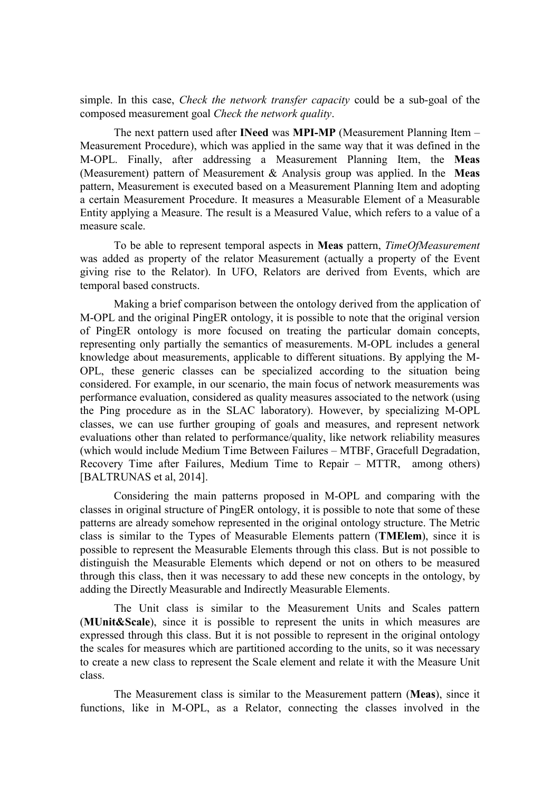simple. In this case, *Check the network transfer capacity* could be a sub-goal of the composed measurement goal *Check the network quality*.

The next pattern used after **INeed** was **MPI-MP** (Measurement Planning Item – Measurement Procedure), which was applied in the same way that it was defined in the M-OPL. Finally, after addressing a Measurement Planning Item, the **Meas** (Measurement) pattern of Measurement & Analysis group was applied. In the **Meas** pattern, Measurement is executed based on a Measurement Planning Item and adopting a certain Measurement Procedure. It measures a Measurable Element of a Measurable Entity applying a Measure. The result is a Measured Value, which refers to a value of a measure scale.

To be able to represent temporal aspects in **Meas** pattern, *TimeOfMeasurement* was added as property of the relator Measurement (actually a property of the Event giving rise to the Relator). In UFO, Relators are derived from Events, which are temporal based constructs.

Making a brief comparison between the ontology derived from the application of M-OPL and the original PingER ontology, it is possible to note that the original version of PingER ontology is more focused on treating the particular domain concepts, representing only partially the semantics of measurements. M-OPL includes a general knowledge about measurements, applicable to different situations. By applying the M-OPL, these generic classes can be specialized according to the situation being considered. For example, in our scenario, the main focus of network measurements was performance evaluation, considered as quality measures associated to the network (using the Ping procedure as in the SLAC laboratory). However, by specializing M-OPL classes, we can use further grouping of goals and measures, and represent network evaluations other than related to performance/quality, like network reliability measures (which would include Medium Time Between Failures – MTBF, Gracefull Degradation, Recovery Time after Failures, Medium Time to Repair – MTTR, among others) [BALTRUNAS et al, 2014].

Considering the main patterns proposed in M-OPL and comparing with the classes in original structure of PingER ontology, it is possible to note that some of these patterns are already somehow represented in the original ontology structure. The Metric class is similar to the Types of Measurable Elements pattern (**TMElem**), since it is possible to represent the Measurable Elements through this class. But is not possible to distinguish the Measurable Elements which depend or not on others to be measured through this class, then it was necessary to add these new concepts in the ontology, by adding the Directly Measurable and Indirectly Measurable Elements.

The Unit class is similar to the Measurement Units and Scales pattern (**MUnit&Scale**), since it is possible to represent the units in which measures are expressed through this class. But it is not possible to represent in the original ontology the scales for measures which are partitioned according to the units, so it was necessary to create a new class to represent the Scale element and relate it with the Measure Unit class.

The Measurement class is similar to the Measurement pattern (**Meas**), since it functions, like in M-OPL, as a Relator, connecting the classes involved in the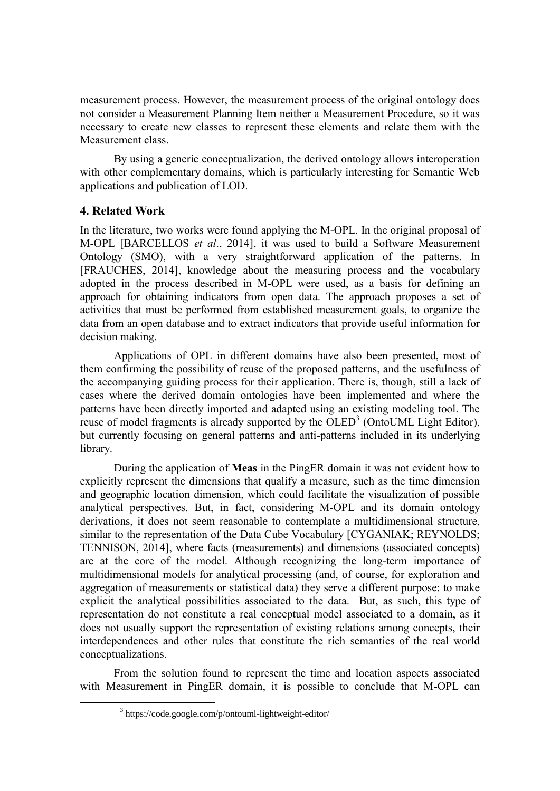measurement process. However, the measurement process of the original ontology does not consider a Measurement Planning Item neither a Measurement Procedure, so it was necessary to create new classes to represent these elements and relate them with the Measurement class.

By using a generic conceptualization, the derived ontology allows interoperation with other complementary domains, which is particularly interesting for Semantic Web applications and publication of LOD.

### **4. Related Work**

1

In the literature, two works were found applying the M-OPL. In the original proposal of M-OPL [BARCELLOS *et al*., 2014], it was used to build a Software Measurement Ontology (SMO), with a very straightforward application of the patterns. In [FRAUCHES, 2014], knowledge about the measuring process and the vocabulary adopted in the process described in M-OPL were used, as a basis for defining an approach for obtaining indicators from open data. The approach proposes a set of activities that must be performed from established measurement goals, to organize the data from an open database and to extract indicators that provide useful information for decision making.

Applications of OPL in different domains have also been presented, most of them confirming the possibility of reuse of the proposed patterns, and the usefulness of the accompanying guiding process for their application. There is, though, still a lack of cases where the derived domain ontologies have been implemented and where the patterns have been directly imported and adapted using an existing modeling tool. The reuse of model fragments is already supported by the OLED<sup>3</sup> (OntoUML Light Editor), but currently focusing on general patterns and anti-patterns included in its underlying library.

During the application of **Meas** in the PingER domain it was not evident how to explicitly represent the dimensions that qualify a measure, such as the time dimension and geographic location dimension, which could facilitate the visualization of possible analytical perspectives. But, in fact, considering M-OPL and its domain ontology derivations, it does not seem reasonable to contemplate a multidimensional structure, similar to the representation of the Data Cube Vocabulary [CYGANIAK; REYNOLDS; TENNISON, 2014], where facts (measurements) and dimensions (associated concepts) are at the core of the model. Although recognizing the long-term importance of multidimensional models for analytical processing (and, of course, for exploration and aggregation of measurements or statistical data) they serve a different purpose: to make explicit the analytical possibilities associated to the data. But, as such, this type of representation do not constitute a real conceptual model associated to a domain, as it does not usually support the representation of existing relations among concepts, their interdependences and other rules that constitute the rich semantics of the real world conceptualizations.

From the solution found to represent the time and location aspects associated with Measurement in PingER domain, it is possible to conclude that M-OPL can

<sup>&</sup>lt;sup>3</sup> https://code.google.com/p/ontouml-lightweight-editor/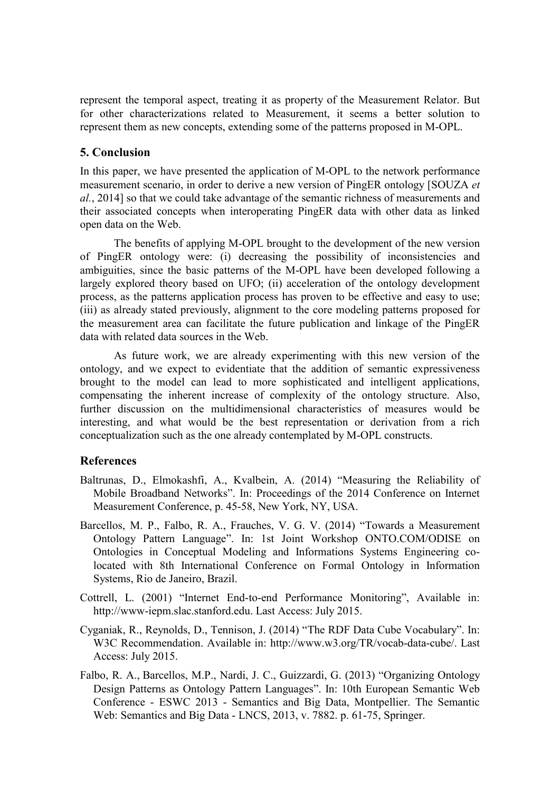represent the temporal aspect, treating it as property of the Measurement Relator. But for other characterizations related to Measurement, it seems a better solution to represent them as new concepts, extending some of the patterns proposed in M-OPL.

### **5. Conclusion**

In this paper, we have presented the application of M-OPL to the network performance measurement scenario, in order to derive a new version of PingER ontology [SOUZA *et al.*, 2014] so that we could take advantage of the semantic richness of measurements and their associated concepts when interoperating PingER data with other data as linked open data on the Web.

The benefits of applying M-OPL brought to the development of the new version of PingER ontology were: (i) decreasing the possibility of inconsistencies and ambiguities, since the basic patterns of the M-OPL have been developed following a largely explored theory based on UFO; (ii) acceleration of the ontology development process, as the patterns application process has proven to be effective and easy to use; (iii) as already stated previously, alignment to the core modeling patterns proposed for the measurement area can facilitate the future publication and linkage of the PingER data with related data sources in the Web.

As future work, we are already experimenting with this new version of the ontology, and we expect to evidentiate that the addition of semantic expressiveness brought to the model can lead to more sophisticated and intelligent applications, compensating the inherent increase of complexity of the ontology structure. Also, further discussion on the multidimensional characteristics of measures would be interesting, and what would be the best representation or derivation from a rich conceptualization such as the one already contemplated by M-OPL constructs.

#### **References**

- Baltrunas, D., Elmokashfi, A., Kvalbein, A. (2014) "Measuring the Reliability of Mobile Broadband Networks". In: Proceedings of the 2014 Conference on Internet Measurement Conference, p. 45-58, New York, NY, USA.
- Barcellos, M. P., Falbo, R. A., Frauches, V. G. V. (2014) "Towards a Measurement Ontology Pattern Language". In: 1st Joint Workshop ONTO.COM/ODISE on Ontologies in Conceptual Modeling and Informations Systems Engineering colocated with 8th International Conference on Formal Ontology in Information Systems, Rio de Janeiro, Brazil.
- Cottrell, L. (2001) "Internet End-to-end Performance Monitoring", Available in: http://www-iepm.slac.stanford.edu. Last Access: July 2015.
- Cyganiak, R., Reynolds, D., Tennison, J. (2014) "The RDF Data Cube Vocabulary". In: W3C Recommendation. Available in: http://www.w3.org/TR/vocab-data-cube/. Last Access: July 2015.
- Falbo, R. A., Barcellos, M.P., Nardi, J. C., Guizzardi, G. (2013) "Organizing Ontology Design Patterns as Ontology Pattern Languages". In: 10th European Semantic Web Conference - ESWC 2013 - Semantics and Big Data, Montpellier. The Semantic Web: Semantics and Big Data - LNCS, 2013, v. 7882. p. 61-75, Springer.